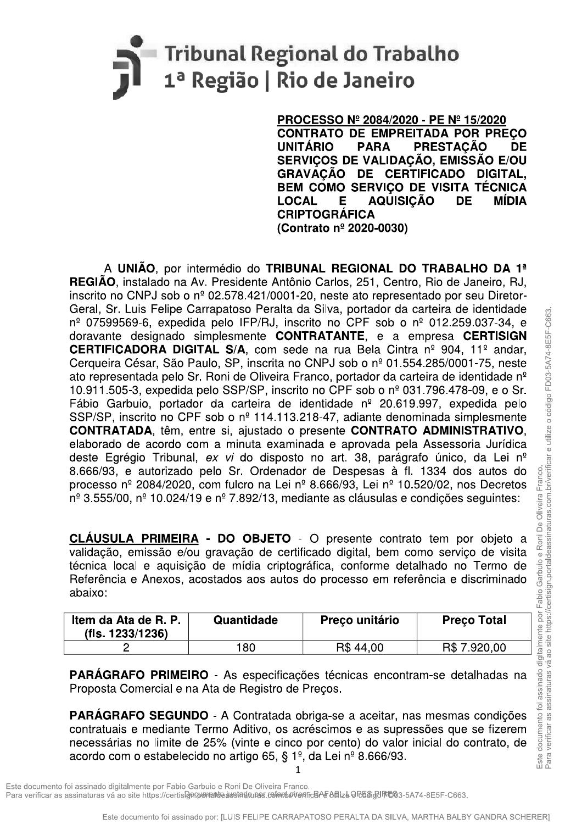# Tribunal Regional do Trabalho 1<sup>ª</sup> Região | Rio de Janeiro

CONTRATO DE EMPREITADA POR PREÇO<br>UNITÁRIO - PARA - PRESTACÃO - DE UNITARIO PARA PRESTAÇÃO DE<br>Consulo de Unita dão estação esta SERVIÇOS DE VALIDAÇÃO, EMISSAO E/OU<br>ARAVIAÇÃO DE LA PRIMEIRA DA PIRIMAI GRAVAÇÃO DE CERTIFICADO DIGITAL, BEM COMO SERVIÇO DE VISITA TÉCNICA<br>LOCAL - E - AQUISICÃO - DE - MÍDIA LOCAL E AQUISIÇÃO<br>CRIPTOGRÁFICA (Contrato nº 2020-0030)

**PROCESSO Nº 2084/2020 - PE I<br>
CONTRATO DE EMPREITADA<br>
UNITÁRIO - PARA - PREST<br>
SERVIÇOS DE VALIDAÇÃO, EI<br>
GRAVAÇÃO DE CERTIFICAI<br>
BEM COMO SERVIÇO DE VIS<br>
LOCAL - E AQUISIÇÃO<br>
CRIPTOGRÁFICA<br>
(Contrato nº 2020-0030)<br>
(Cont** A UNIÃO, por intermédio do TRIBUNAL REGIONAL DO TRABALHO DA 1<sup>ª</sup> REGIÃO, instalado na Av. Presidente Antônio Carlos, 251, Centro, Rio de Janeiro, RJ, inscrito no CNPJ sob o  $n^{\circ}$  02.578.421/0001-20, neste ato representado por seu Diretor-Geral, Sr. Luis Felipe Carrayatayeo Peralla da Silva, pontador da carteira de Ventillada<br>
do CERTIFICADORA DIGITAL S/A, com sede na nua Bela Cintra nº 904. 11º andor,<br>
CERTIFICADORA DIGITAL S/A, com sede na nua Bela Cintr  $n^{\circ}$  07599569-6, expedida pelo IFP/RJ, inscrito no CPF sob o  $n^{\circ}$  012.259.037-34, e doravante designado simplesmente CONTRATANTE, e a empresa CERTISIGN **CERTIFICADORA DIGITAL S/A, com sede na rua Bela Cintra nº 904, 11º andar,** Cerqueira César, São Paulo, SP, inscrita no CNPJ sob o nº 01.554.285/0001-75, neste ato representada pelo Sr. Roni de Oliveira Franco, portador da carteira de identidade nº 10.911.505-3, expedida pelo SSP/SP, inscrito no CPF sob o  $n<sup>9</sup>$  031.796.478-09, e o Sr. Fábio Garbuio, portador da carteira de identidade  $n^{\circ}$  20.619.997, expedida pelo SSP/SP, inscrito no CPF sob o  $n^{\circ}$  114.113.218-47, adiante denominada simplesmente CONTRATADA, têm, entre si, ajustado o presente CONTRATO ADMINISTRATIVO, elaborado de acordo com a minuta examinada e aprovada pela Assessoria Jurídica deste Egrégio Tribunal, ex vi do disposto no art. 38, parágrafo único, da Lei nº 8.666/93, e autorizado pelo Sr. Ordenador de Despesas à fl. 1334 dos autos do processo nº 2084/2020, com fulcro na Lei nº 8.666/93, Lei nº 10.520/02, nos Decretos  $n^{\circ}$  3.555/00,  $n^{\circ}$  10.024/19 e  $n^{\circ}$  7.892/13, mediante as cláusulas e condicões sequintes: **A UNIÃO,** por intermédio do TRBUNAL REGIONAL DO TRABALHO DA 1<br>
REGIÃO, incidado na Av. Presidento Antholo Carlos 251, Contro, Rio do Janeiro, R.J.<br>
nos diversidos do Nova Contro 26, 254/2/10001-20, notes do representado

**CLAUSULA PRIMEIRA - DO OBJETO** - O presente contrato tem por objeto a validação, emissão e/ou gravação de certificado digital, bem como serviço de visita técnica local e aquisicão de mídia criptográfica, conforme detalhado no Termo de Referência e Anexos, acostados aos autos do processo em referência e discriminado abaixo: **LA PRIMEIRA - DO OBJETO** - O presente contrato tem por objeto<br>
, emissão e/ou gravação de certificado digital, bem como serviço de visitiva<br>
a e aquisição de mídia criptográfica, conforme detalhado no Termo d<br>
a e Anexos,

| <b>Preco Total</b> |
|--------------------|
|                    |
| R\$ 7.920,00       |
|                    |

- PARAGRAFU PRIMEIRU - As especificações tecnicas encontram-se detainadas na Proposta Comercial e na Ata de Registro de Preços.

 $\overline{a}$ PARAGRAFU SEGUNDU - A Contratada obriga-se a aceitar, nas mesmas condições contratuais e mediante Termo Aditivo, os acréscimos e as supressões que se fizerem necessárias no limite de 25% (vinte e cinco por cento) do valor inicial do contrato, de acordo com o estabelecido no artigo 65, § 1<sup>o</sup>, da Lei n<sup>o</sup> 8.666/93.

-

Este documento foi assinado digitalmente por Fabio Garbuio e Roni De Oliveira Franco. Para verificar as assinaturas vá ao site https://certiskonentedeaustadeupes.tonenticanes/fichtedfullededentica<br>Este documento foi assinado por: [LUIS FELIPE CARRAPATOSO PERALTA DA SILVA, MARTHA BALBY GANDRA SCHERER]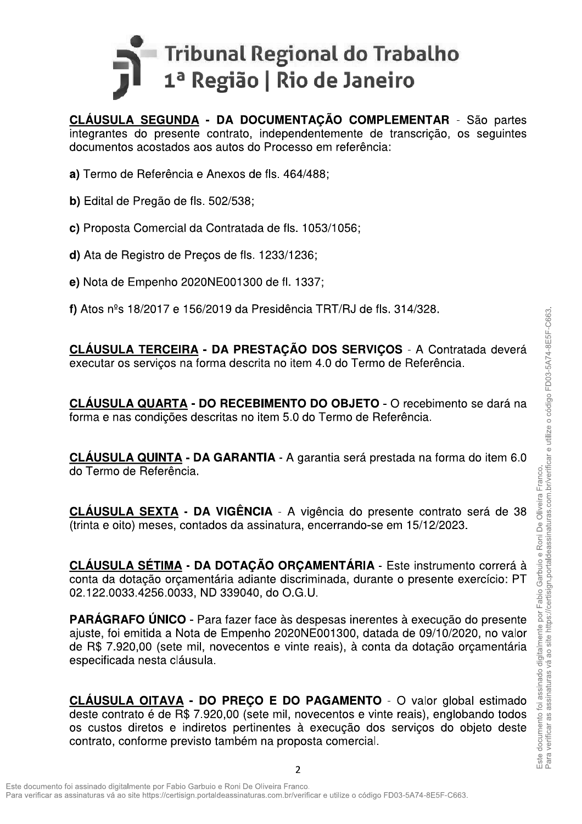

CLÁUSULA SEGUNDA - DA DOCUMENTAÇÃO COMPLEMENTAR - São partes integrantes do presente contrato, independentemente de transcrição, os seguintes documentos acostados aos autos do Processo em referência:

- a) Termo de Referência e Anexos de fls. 464/488;
- b) Edital de Pregão de fls. 502/538;
- c) Proposta Comercial da Contratada de fls. 1053/1056;
- d) Ata de Registro de Precos de fls. 1233/1236;
- e) Nota de Empenho 2020NE001300 de fl. 1337;
- f) Atos  $n^{\circ}$ s 18/2017 e 156/2019 da Presidência TRT/RJ de fls. 314/328.

CLÁUSULA TERCEIRA - DA PRESTAÇÃO DOS SERVICOS - A Contratada deverá executar os serviços na forma descrita no item 4.0 do Termo de Referência.

CLÁUSULA QUARTA - DO RECEBIMENTO DO OBJETO - O recebimento se dará na forma e nas condições descritas no item 5.0 do Termo de Referência.

CLÁUSULA QUINTA - DA GARANTIA - A garantia será prestada na forma do item 6.0 do Termo de Referência.

CLÁUSULA SEXTA - DA VIGÊNCIA - A vigência do presente contrato será de 38 (trinta e oito) meses, contados da assinatura, encerrando-se em 15/12/2023.

CLÁUSULA SÉTIMA - DA DOTAÇÃO ORÇAMENTÁRIA - Este instrumento correrá à conta da dotação orçamentária adiante discriminada, durante o presente exercício: PT 02.122.0033.4256.0033, ND 339040, do O.G.U.

**PARÁGRAFO ÚNICO** - Para fazer face às despesas inerentes à execução do presente ajuste, foi emitida a Nota de Empenho 2020NE001300, datada de 09/10/2020, no valor de R\$ 7.920,00 (sete mil, novecentos e vinte reais), à conta da dotação orçamentária especificada nesta cláusula.

CLÁUSULA OITAVA - DO PREÇO E DO PAGAMENTO - O valor global estimado deste contrato é de R\$ 7.920.00 (sete mil. novecentos e vinte reais), englobando todos os custos diretos e indiretos pertinentes à execução dos serviços do objeto deste contrato, conforme previsto também na proposta comercial.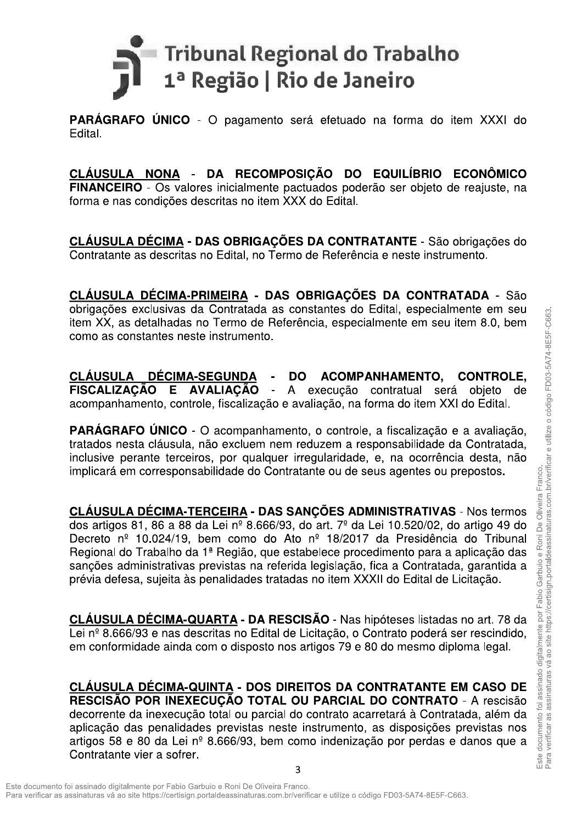

PARÁGRAFO ÚNICO - O pagamento será efetuado na forma do item XXXI do Edital.

CLÁUSULA NONA - DA RECOMPOSIÇÃO DO EQUILÍBRIO ECONÔMICO FINANCEIRO - Os valores inicialmente pactuados poderão ser objeto de reajuste, na forma e nas condições descritas no item XXX do Edital.

CLÁUSULA DÉCIMA - DAS OBRIGAÇÕES DA CONTRATANTE - São obrigações do Contratante as descritas no Edital, no Termo de Referência e neste instrumento.

CLÁUSULA DÉCIMA-PRIMEIRA - DAS OBRIGAÇÕES DA CONTRATADA - São obrigações exclusivas da Contratada as constantes do Edital, especialmente em seu item XX, as detalhadas no Termo de Referência, especialmente em seu item 8.0, bem como as constantes neste instrumento.

**DÉCIMA-SEGUNDA CLÁUSULA DO** ACOMPANHAMENTO. **CONTROLE.** FISCALIZAÇÃO E AVALIAÇÃO -A execução contratual será objeto de acompanhamento, controle, fiscalização e avaliação, na forma do item XXI do Edital.

**PARÁGRAFO ÚNICO** - O acompanhamento, o controle, a fiscalização e a avaliação, tratados nesta cláusula, não excluem nem reduzem a responsabilidade da Contratada, inclusive perante terceiros, por qualquer irregularidade, e, na ocorrência desta, não implicará em corresponsabilidade do Contratante ou de seus agentes ou prepostos.

CLÁUSULA DÉCIMA-TERCEIRA - DAS SANÇÕES ADMINISTRATIVAS - Nos termos dos artigos 81, 86 a 88 da Lei nº 8.666/93, do art.  $7^{\circ}$  da Lei 10.520/02, do artigo 49 do Decreto nº 10.024/19, bem como do Ato nº 18/2017 da Presidência do Tribunal Regional do Trabalho da 1ª Região, que estabelece procedimento para a aplicação das sancões administrativas previstas na referida legislação, fica a Contratada, garantida a prévia defesa, sujeita às penalidades tratadas no item XXXII do Edital de Licitação.

CLÁUSULA DÉCIMA-QUARTA - DA RESCISÃO - Nas hipóteses listadas no art. 78 da Lei nº 8.666/93 e nas descritas no Edital de Licitação, o Contrato poderá ser rescindido, em conformidade ainda com o disposto nos artigos 79 e 80 do mesmo diploma legal.

CLÁUSULA DÉCIMA-QUINTA - DOS DIREITOS DA CONTRATANTE EM CASO DE RESCISÃO POR INEXECUÇÃO TOTAL OU PARCIAL DO CONTRATO - A rescisão decorrente da inexecução total ou parcial do contrato acarretará à Contratada, além da aplicação das penalidades previstas neste instrumento, as disposições previstas nos artigos 58 e 80 da Lei nº 8.666/93, bem como indenização por perdas e danos que a Contratante vier a sofrer.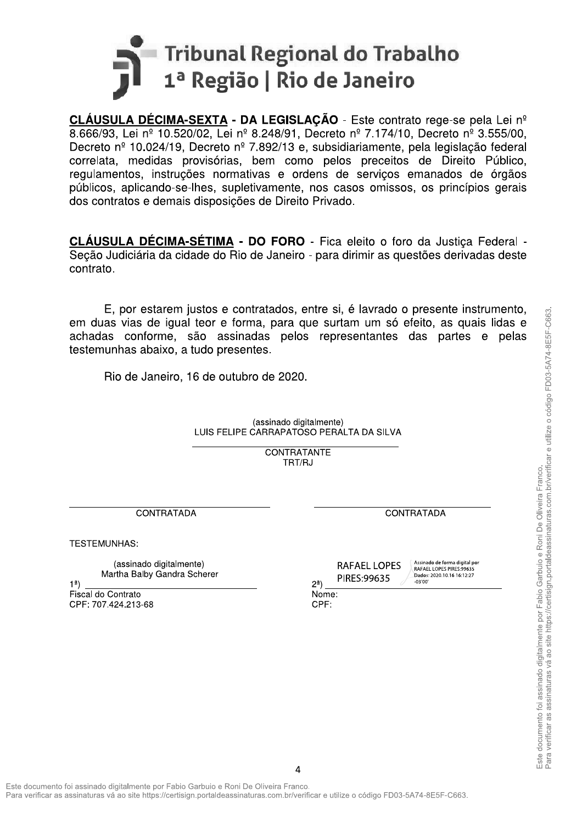

CLÁUSULA DÉCIMA-SEXTA - DA LEGISLAÇÃO - Este contrato rege-se pela Lei nº 8.666/93, Lei nº 10.520/02, Lei nº 8.248/91, Decreto nº 7.174/10, Decreto nº 3.555/00, Decreto nº 10.024/19, Decreto nº 7.892/13 e, subsidiariamente, pela legislação federal correlata, medidas provisórias, bem como pelos preceitos de Direito Público, regulamentos, instruções normativas e ordens de serviços emanados de órgãos públicos, aplicando-se-lhes, supletivamente, nos casos omissos, os princípios gerais dos contratos e demais disposições de Direito Privado.

CLÁUSULA DÉCIMA-SÉTIMA - DO FORO - Fica eleito o foro da Justica Federal -Seção Judiciária da cidade do Rio de Janeiro - para dirimir as questões derivadas deste contrato.

E, por estarem justos e contratados, entre si, é lavrado o presente instrumento, em duas vias de igual teor e forma, para que surtam um só efeito, as quais lidas e achadas conforme, são assinadas pelos representantes das partes e pelas testemunhas abaixo, a tudo presentes.

Rio de Janeiro, 16 de outubro de 2020.

(assinado digitalmente) LUIS FELIPE CARRAPATOSO PERALTA DA SILVA

> CONTRATANTE TRT/RJ

CONTRATADA

**TESTEMUNHAS:** 

(assinado digitalmente) Martha Balby Gandra Scherer

 $1<sup>a</sup>$ Fiscal do Contrato CPF: 707.424.213-68 **CONTRATADA** 

Assinado de forma digital por RAFAEL LOPES PIRES:99635 Dados: 2020.10.16 16:12:27  $-03'00$ 

PIRES:99635  $2<sup>a</sup>$ )  $Norme$ : CPF:

**RAFAEL LOPES**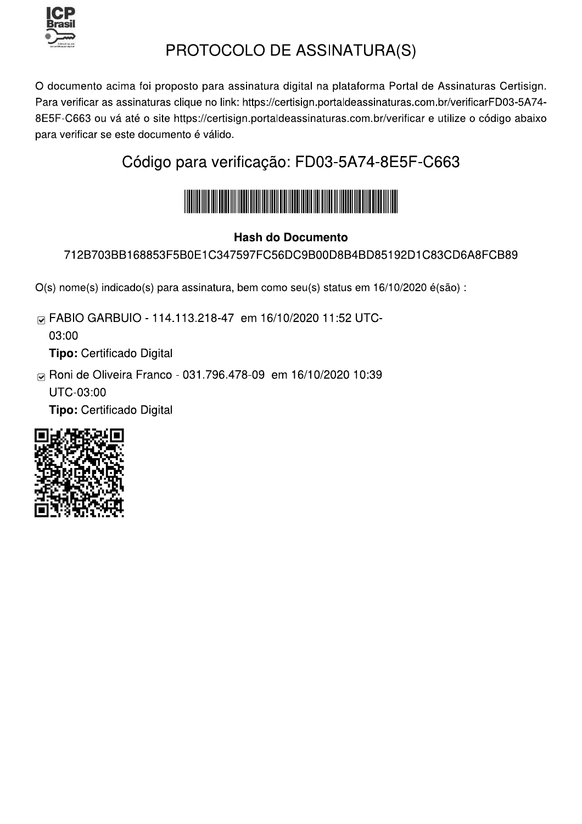

## PROTOCOLO DE ASSINATURA(S)

O documento acima foi proposto para assinatura digital na plataforma Portal de Assinaturas Certisign. Para verificar as assinaturas clique no link: https://certisign.portaldeassinaturas.com.br/verificarFD03-5A74-8E5F-C663 ou vá até o site https://certisign.portaldeassinaturas.com.br/verificar e utilize o código abaixo para verificar se este documento é válido.

### Código para verificação: FD03-5A74-8E5F-C663



### **Hash do Documento**

712B703BB168853F5B0E1C347597FC56DC9B00D8B4BD85192D1C83CD6A8FCB89

O(s) nome(s) indicado(s) para assinatura, bem como seu(s) status em 16/10/2020 é(são) :

M FABIO GARBUIO - 114.113.218-47 em 16/10/2020 11:52 UTC-

03:00

Tipo: Certificado Digital

⊠ Roni de Oliveira Franco - 031.796.478-09 em 16/10/2020 10:39

UTC-03:00

Tipo: Certificado Digital